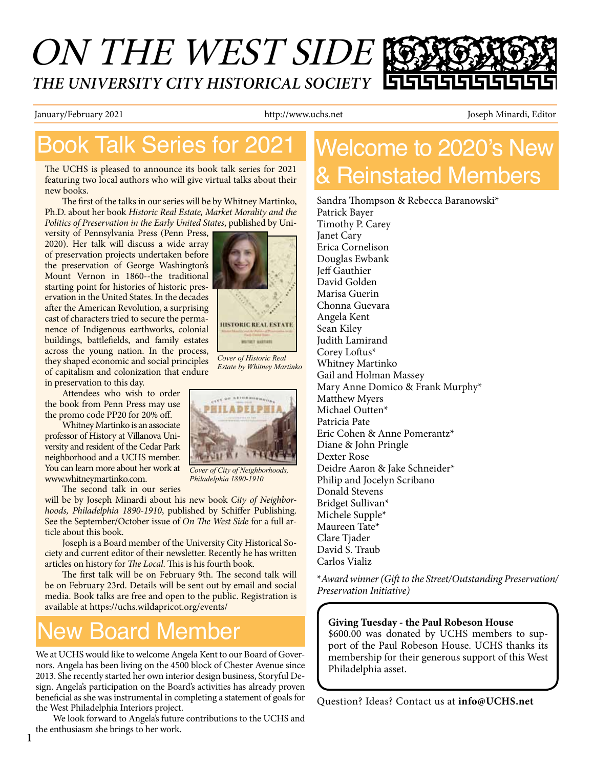# ON THE WEST SIDE *THE UNIVERSITY CITY HISTORICAL SOCIETY*

January/February 2021 http://www.uchs.net Joseph Minardi, Editor

i

# Book Talk Series for 2021

The UCHS is pleased to announce its book talk series for 2021 featuring two local authors who will give virtual talks about their new books.

The first of the talks in our series will be by Whitney Martinko, Ph.D. about her book *Historic Real Estate, Market Morality and the Politics of Preservation in the Early United States*, published by Uni-

versity of Pennsylvania Press (Penn Press, 2020). Her talk will discuss a wide array of preservation projects undertaken before the preservation of George Washington's Mount Vernon in 1860--the traditional starting point for histories of historic preservation in the United States. In the decades after the American Revolution, a surprising cast of characters tried to secure the permanence of Indigenous earthworks, colonial buildings, battlefields, and family estates across the young nation. In the process, they shaped economic and social principles of capitalism and colonization that endure in preservation to this day.

Attendees who wish to order the book from Penn Press may use the promo code PP20 for 20% off.

Whitney Martinko is an associate professor of History at Villanova University and resident of the Cedar Park neighborhood and a UCHS member. You can learn more about her work at www.whitneymartinko.com.

The second talk in our series

will be by Joseph Minardi about his new book *City of Neighborhoods, Philadelphia 1890-1910*, published by Schiffer Publishing. See the September/October issue of *On The West Side* for a full article about this book.

Joseph is a Board member of the University City Historical Society and current editor of their newsletter. Recently he has written articles on history for *The Local*. This is his fourth book.

The first talk will be on February 9th. The second talk will be on February 23rd. Details will be sent out by email and social media. Book talks are free and open to the public. Registration is available at https://uchs.wildapricot.org/events/

### ew Board Member

We at UCHS would like to welcome Angela Kent to our Board of Governors. Angela has been living on the 4500 block of Chester Avenue since 2013. She recently started her own interior design business, Storyful Design. Angela's participation on the Board's activities has already proven beneficial as she was instrumental in completing a statement of goals for the West Philadelphia Interiors project.

We look forward to Angela's future contributions to the UCHS and the enthusiasm she brings to her work.



Sandra Thompson & Rebecca Baranowski\* Patrick Bayer Timothy P. Carey Janet Cary Erica Cornelison Douglas Ewbank Jeff Gauthier David Golden Marisa Guerin Chonna Guevara Angela Kent Sean Kiley Judith Lamirand Corey Loftus\* Whitney Martinko Gail and Holman Massey Mary Anne Domico & Frank Murphy\* Matthew Myers Michael Outten\* Patricia Pate Eric Cohen & Anne Pomerantz\* Diane & John Pringle Dexter Rose Deidre Aaron & Jake Schneider\* Philip and Jocelyn Scribano Donald Stevens Bridget Sullivan\* Michele Supple\* Maureen Tate\* Clare Tjader David S. Traub Carlos Vializ

\**Award winner (Gift to the Street/Outstanding Preservation/ Preservation Initiative)*

**Giving Tuesday - the Paul Robeson House** \$600.00 was donated by UCHS members to support of the Paul Robeson House. UCHS thanks its membership for their generous support of this West Philadelphia asset.

Question? Ideas? Contact us at **info@UCHS.net**



*Estate by Whitney Martinko*



*Cover of City of Neighborhoods, Philadelphia 1890-1910*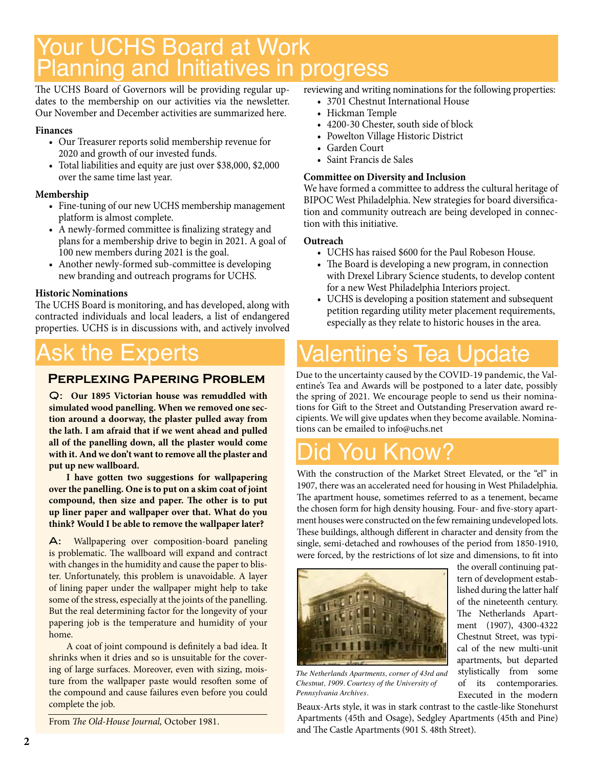# Your UCHS Board at Work Planning and Initiatives in progress

The UCHS Board of Governors will be providing regular updates to the membership on our activities via the newsletter. Our November and December activities are summarized here.

#### **Finances**

- • Our Treasurer reports solid membership revenue for 2020 and growth of our invested funds.
- • Total liabilities and equity are just over \$38,000, \$2,000 over the same time last year.

### **Membership**

- Fine-tuning of our new UCHS membership management platform is almost complete.
- A newly-formed committee is finalizing strategy and plans for a membership drive to begin in 2021. A goal of 100 new members during 2021 is the goal.
- Another newly-formed sub-committee is developing new branding and outreach programs for UCHS.

### **Historic Nominations**

The UCHS Board is monitoring, and has developed, along with contracted individuals and local leaders, a list of endangered properties. UCHS is in discussions with, and actively involved

# sk the Experts

### **Perplexing Papering Problem**

Q: **Our 1895 Victorian house was remuddled with simulated wood panelling. When we removed one section around a doorway, the plaster pulled away from the lath. I am afraid that if we went ahead and pulled all of the panelling down, all the plaster would come with it. And we don't want to remove all the plaster and put up new wallboard.** 

**I have gotten two suggestions for wallpapering over the panelling. One is to put on a skim coat of joint compound, then size and paper. The other is to put up liner paper and wallpaper over that. What do you think? Would I be able to remove the wallpaper later?**

A: Wallpapering over composition-board paneling is problematic. The wallboard will expand and contract with changes in the humidity and cause the paper to blister. Unfortunately, this problem is unavoidable. A layer of lining paper under the wallpaper might help to take some of the stress, especially at the joints of the panelling. But the real determining factor for the longevity of your papering job is the temperature and humidity of your home.

A coat of joint compound is definitely a bad idea. It shrinks when it dries and so is unsuitable for the covering of large surfaces. Moreover, even with sizing, moisture from the wallpaper paste would resoften some of the compound and cause failures even before you could complete the job.

From *The Old-House Journal,* October 1981.

reviewing and writing nominations for the following properties:

- 3701 Chestnut International House
- Hickman Temple
- 4200-30 Chester, south side of block
- Powelton Village Historic District
- • Garden Court
- • Saint Francis de Sales

### **Committee on Diversity and Inclusion**

We have formed a committee to address the cultural heritage of BIPOC West Philadelphia. New strategies for board diversification and community outreach are being developed in connection with this initiative.

#### **Outreach**

- UCHS has raised \$600 for the Paul Robeson House.
- The Board is developing a new program, in connection with Drexel Library Science students, to develop content for a new West Philadelphia Interiors project.
- • UCHS is developing a position statement and subsequent petition regarding utility meter placement requirements, especially as they relate to historic houses in the area.

# 'alentine's Tea I

Due to the uncertainty caused by the COVID-19 pandemic, the Valentine's Tea and Awards will be postponed to a later date, possibly the spring of 2021. We encourage people to send us their nominations for Gift to the Street and Outstanding Preservation award recipients. We will give updates when they become available. Nominations can be emailed to info@uchs.net

# Did You Know?

With the construction of the Market Street Elevated, or the "el" in 1907, there was an accelerated need for housing in West Philadelphia. The apartment house, sometimes referred to as a tenement, became the chosen form for high density housing. Four- and five-story apartment houses were constructed on the few remaining undeveloped lots. These buildings, although different in character and density from the single, semi-detached and rowhouses of the period from 1850-1910, were forced, by the restrictions of lot size and dimensions, to fit into



*The Netherlands Apartments, corner of 43rd and Chestnut, 1909. Courtesy of the University of Pennsylvania Archives.*

Beaux-Arts style, it was in stark contrast to the castle-like Stonehurst Apartments (45th and Osage), Sedgley Apartments (45th and Pine) and The Castle Apartments (901 S. 48th Street).

the overall continuing pattern of development established during the latter half of the nineteenth century. The Netherlands Apartment (1907), 4300-4322 Chestnut Street, was typical of the new multi-unit apartments, but departed stylistically from some of its contemporaries. Executed in the modern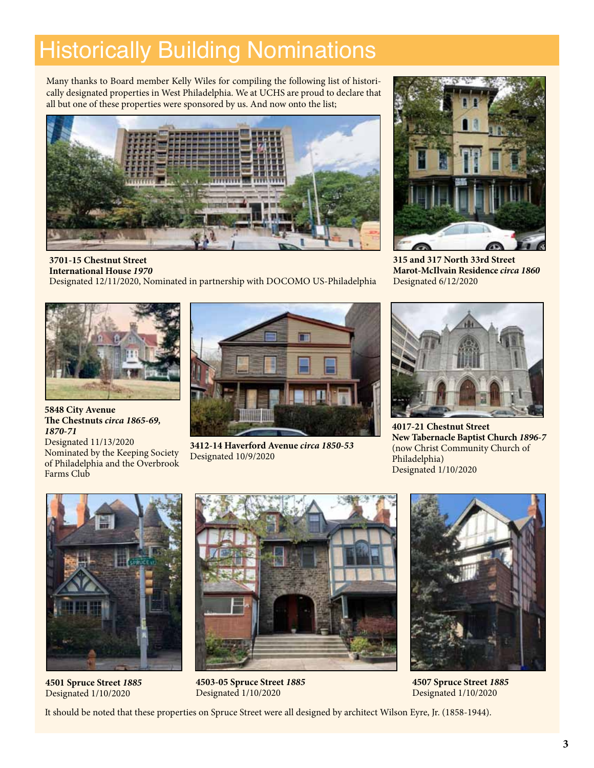# Historically Building Nominations

Many thanks to Board member Kelly Wiles for compiling the following list of historically designated properties in West Philadelphia. We at UCHS are proud to declare that all but one of these properties were sponsored by us. And now onto the list;



**3701-15 Chestnut Street International House** *1970* Designated 12/11/2020, Nominated in partnership with DOCOMO US-Philadelphia



**5848 City Avenue The Chestnuts** *circa 1865-69, 1870-71* Designated 11/13/2020

Nominated by the Keeping Society of Philadelphia and the Overbrook Farms Club



**3412-14 Haverford Avenue** *circa 1850-53* Designated 10/9/2020



**315 and 317 North 33rd Street Marot-McIlvain Residence** *circa 1860* Designated 6/12/2020



**4017-21 Chestnut Street New Tabernacle Baptist Church** *1896-7* (now Christ Community Church of Philadelphia) Designated 1/10/2020



**4501 Spruce Street** *1885* Designated 1/10/2020



**4503-05 Spruce Street** *1885* Designated 1/10/2020



**4507 Spruce Street** *1885* Designated 1/10/2020

It should be noted that these properties on Spruce Street were all designed by architect Wilson Eyre, Jr. (1858-1944).